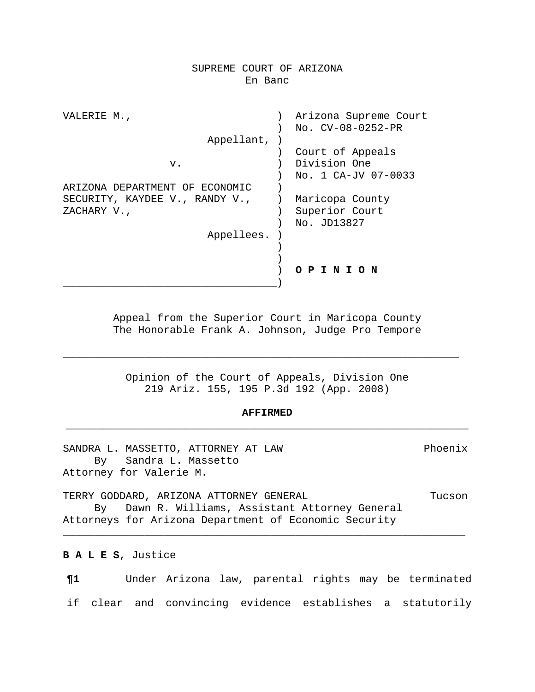## SUPREME COURT OF ARIZONA En Banc

| VALERIE M.,                    | Arizona Supreme Court |
|--------------------------------|-----------------------|
|                                | No. CV-08-0252-PR     |
| Appellant,                     |                       |
|                                | Court of Appeals      |
| v.                             | Division One          |
|                                | No. 1 CA-JV 07-0033   |
| ARIZONA DEPARTMENT OF ECONOMIC |                       |
| SECURITY, KAYDEE V., RANDY V., | Maricopa County       |
| ZACHARY V.,                    | Superior Court        |
|                                | No. JD13827           |
| Appellees.                     |                       |
|                                |                       |
|                                |                       |
|                                | PINION                |
|                                |                       |

Appeal from the Superior Court in Maricopa County The Honorable Frank A. Johnson, Judge Pro Tempore

Opinion of the Court of Appeals, Division One 219 Ariz. 155, 195 P.3d 192 (App. 2008)

\_\_\_\_\_\_\_\_\_\_\_\_\_\_\_\_\_\_\_\_\_\_\_\_\_\_\_\_\_\_\_\_\_\_\_\_\_\_\_\_\_\_\_\_\_\_\_\_\_\_\_\_\_\_\_\_\_\_\_\_\_\_\_

# **AFFIRMED** \_\_\_\_\_\_\_\_\_\_\_\_\_\_\_\_\_\_\_\_\_\_\_\_\_\_\_\_\_\_\_\_\_\_\_\_\_\_\_\_\_\_\_\_\_\_\_\_\_\_\_\_\_\_\_\_\_\_\_\_\_\_\_\_

SANDRA L. MASSETTO, ATTORNEY AT LAW Phoenix By Sandra L. Massetto Attorney for Valerie M.

TERRY GODDARD, ARIZONA ATTORNEY GENERAL TUCSON TUCSON By Dawn R. Williams, Assistant Attorney General Attorneys for Arizona Department of Economic Security

\_\_\_\_\_\_\_\_\_\_\_\_\_\_\_\_\_\_\_\_\_\_\_\_\_\_\_\_\_\_\_\_\_\_\_\_\_\_\_\_\_\_\_\_\_\_\_\_\_\_\_\_\_\_\_\_\_\_\_\_\_\_\_\_

**B A L E S**, Justice

**¶1** Under Arizona law, parental rights may be terminated if clear and convincing evidence establishes a statutorily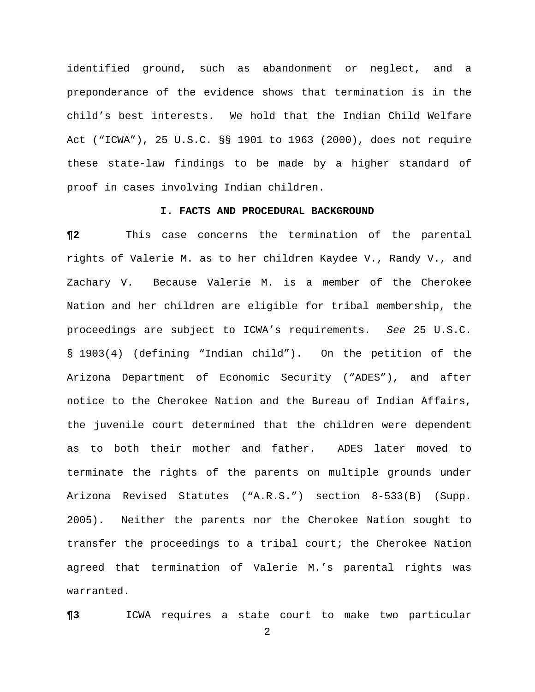identified ground, such as abandonment or neglect, and a preponderance of the evidence shows that termination is in the child's best interests. We hold that the Indian Child Welfare Act ("ICWA"), 25 U.S.C. §§ 1901 to 1963 (2000), does not require these state-law findings to be made by a higher standard of proof in cases involving Indian children.

### **I. FACTS AND PROCEDURAL BACKGROUND**

**¶2** This case concerns the termination of the parental rights of Valerie M. as to her children Kaydee V., Randy V., and Zachary V. Because Valerie M. is a member of the Cherokee Nation and her children are eligible for tribal membership, the proceedings are subject to ICWA's requirements. *See* 25 U.S.C. § 1903(4) (defining "Indian child"). On the petition of the Arizona Department of Economic Security ("ADES"), and after notice to the Cherokee Nation and the Bureau of Indian Affairs, the juvenile court determined that the children were dependent as to both their mother and father. ADES later moved to terminate the rights of the parents on multiple grounds under Arizona Revised Statutes ("A.R.S.") section 8-533(B) (Supp. 2005). Neither the parents nor the Cherokee Nation sought to transfer the proceedings to a tribal court; the Cherokee Nation agreed that termination of Valerie M.'s parental rights was warranted.

**¶3** ICWA requires a state court to make two particular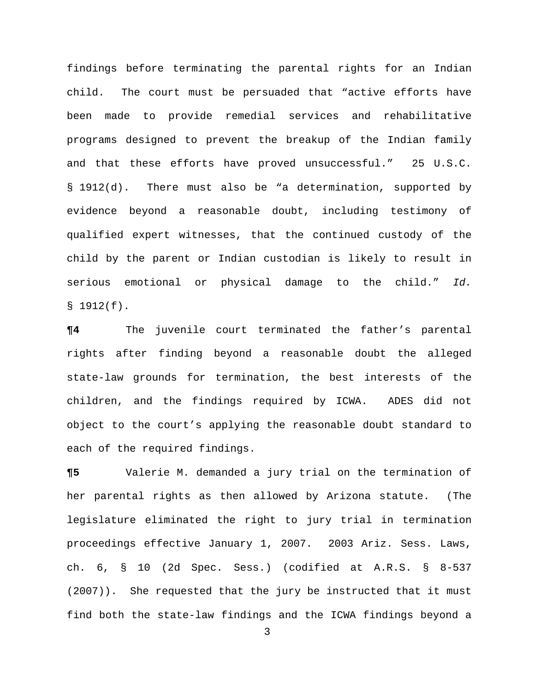findings before terminating the parental rights for an Indian child. The court must be persuaded that "active efforts have been made to provide remedial services and rehabilitative programs designed to prevent the breakup of the Indian family and that these efforts have proved unsuccessful." 25 U.S.C. § 1912(d). There must also be "a determination, supported by evidence beyond a reasonable doubt, including testimony of qualified expert witnesses, that the continued custody of the child by the parent or Indian custodian is likely to result in serious emotional or physical damage to the child." *Id.*   $$1912(f).$ 

**¶4** The juvenile court terminated the father's parental rights after finding beyond a reasonable doubt the alleged state-law grounds for termination, the best interests of the children, and the findings required by ICWA. ADES did not object to the court's applying the reasonable doubt standard to each of the required findings.

**¶5** Valerie M. demanded a jury trial on the termination of her parental rights as then allowed by Arizona statute. (The legislature eliminated the right to jury trial in termination proceedings effective January 1, 2007. 2003 Ariz. Sess. Laws, ch. 6, § 10 (2d Spec. Sess.) (codified at A.R.S. § 8-537 (2007)). She requested that the jury be instructed that it must find both the state-law findings and the ICWA findings beyond a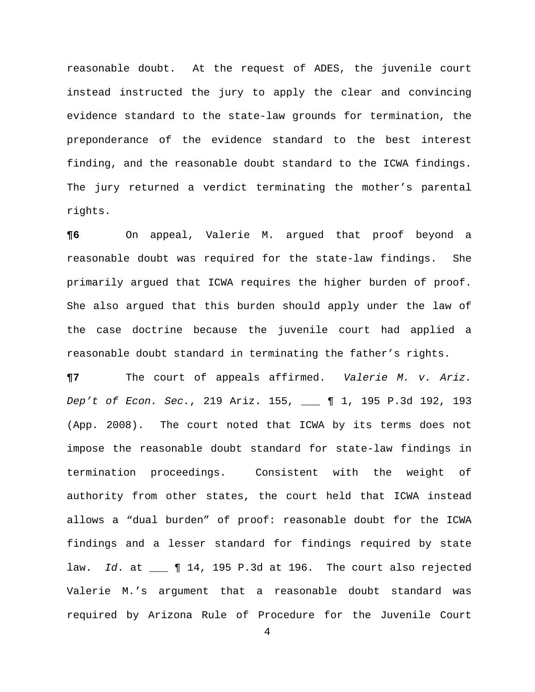reasonable doubt. At the request of ADES, the juvenile court instead instructed the jury to apply the clear and convincing evidence standard to the state-law grounds for termination, the preponderance of the evidence standard to the best interest finding, and the reasonable doubt standard to the ICWA findings. The jury returned a verdict terminating the mother's parental rights.

**¶6** On appeal, Valerie M. argued that proof beyond a reasonable doubt was required for the state-law findings. She primarily argued that ICWA requires the higher burden of proof. She also argued that this burden should apply under the law of the case doctrine because the juvenile court had applied a reasonable doubt standard in terminating the father's rights.

**¶7** The court of appeals affirmed. *Valerie M. v. Ariz. Dep't of Econ. Sec.*, 219 Ariz. 155, \_\_\_ ¶ 1, 195 P.3d 192, 193 (App. 2008). The court noted that ICWA by its terms does not impose the reasonable doubt standard for state-law findings in termination proceedings. Consistent with the weight of authority from other states, the court held that ICWA instead allows a "dual burden" of proof: reasonable doubt for the ICWA findings and a lesser standard for findings required by state law. *Id*. at \_\_\_ ¶ 14, 195 P.3d at 196. The court also rejected Valerie M.'s argument that a reasonable doubt standard was required by Arizona Rule of Procedure for the Juvenile Court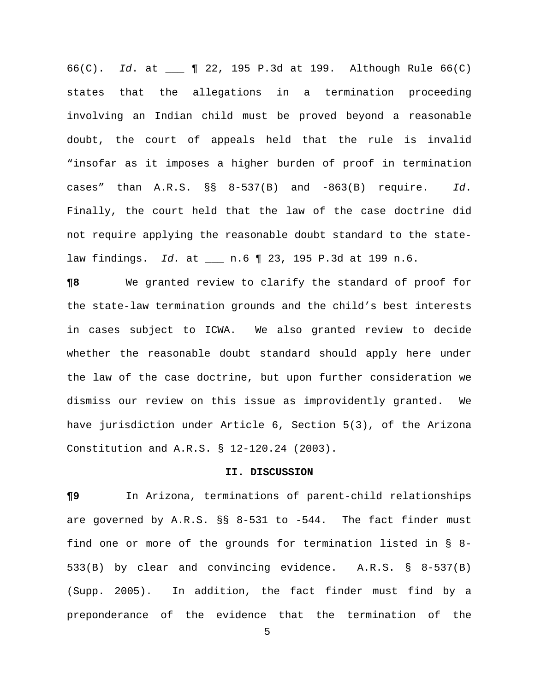66(C). *Id*. at \_\_\_ ¶ 22, 195 P.3d at 199. Although Rule 66(C) states that the allegations in a termination proceeding involving an Indian child must be proved beyond a reasonable doubt, the court of appeals held that the rule is invalid "insofar as it imposes a higher burden of proof in termination cases" than A.R.S. §§ 8-537(B) and -863(B) require. *Id*. Finally, the court held that the law of the case doctrine did not require applying the reasonable doubt standard to the statelaw findings. *Id.* at \_\_\_ n.6 ¶ 23, 195 P.3d at 199 n.6.

**¶8** We granted review to clarify the standard of proof for the state-law termination grounds and the child's best interests in cases subject to ICWA. We also granted review to decide whether the reasonable doubt standard should apply here under the law of the case doctrine, but upon further consideration we dismiss our review on this issue as improvidently granted. We have jurisdiction under Article 6, Section 5(3), of the Arizona Constitution and A.R.S. § 12-120.24 (2003).

#### **II. DISCUSSION**

**¶9** In Arizona, terminations of parent-child relationships are governed by A.R.S. §§ 8-531 to -544. The fact finder must find one or more of the grounds for termination listed in § 8- 533(B) by clear and convincing evidence. A.R.S. § 8-537(B) (Supp. 2005). In addition, the fact finder must find by a preponderance of the evidence that the termination of the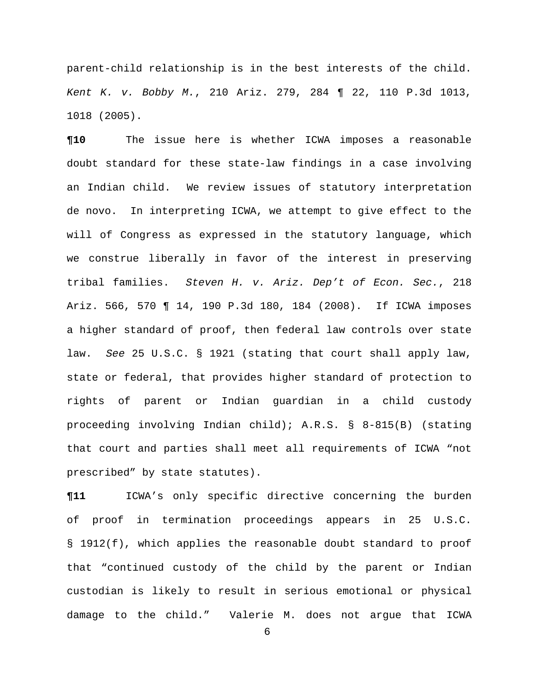parent-child relationship is in the best interests of the child. *Kent K. v. Bobby M.*, 210 Ariz. 279, 284 ¶ 22, 110 P.3d 1013, 1018 (2005).

**¶10** The issue here is whether ICWA imposes a reasonable doubt standard for these state-law findings in a case involving an Indian child. We review issues of statutory interpretation de novo. In interpreting ICWA, we attempt to give effect to the will of Congress as expressed in the statutory language, which we construe liberally in favor of the interest in preserving tribal families. *Steven H. v. Ariz. Dep't of Econ. Sec.*, 218 Ariz. 566, 570 ¶ 14, 190 P.3d 180, 184 (2008). If ICWA imposes a higher standard of proof, then federal law controls over state law. *See* 25 U.S.C. § 1921 (stating that court shall apply law, state or federal, that provides higher standard of protection to rights of parent or Indian guardian in a child custody proceeding involving Indian child); A.R.S. § 8-815(B) (stating that court and parties shall meet all requirements of ICWA "not prescribed" by state statutes).

**¶11** ICWA's only specific directive concerning the burden of proof in termination proceedings appears in 25 U.S.C. § 1912(f), which applies the reasonable doubt standard to proof that "continued custody of the child by the parent or Indian custodian is likely to result in serious emotional or physical damage to the child." Valerie M. does not argue that ICWA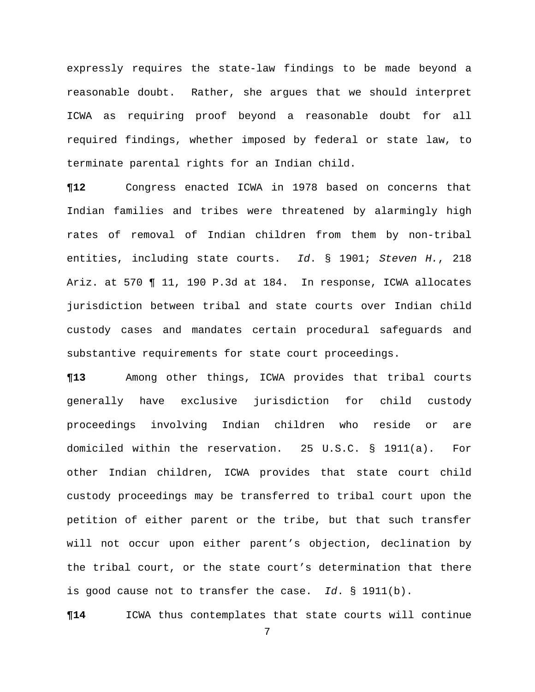expressly requires the state-law findings to be made beyond a reasonable doubt. Rather, she argues that we should interpret ICWA as requiring proof beyond a reasonable doubt for all required findings, whether imposed by federal or state law, to terminate parental rights for an Indian child.

**¶12** Congress enacted ICWA in 1978 based on concerns that Indian families and tribes were threatened by alarmingly high rates of removal of Indian children from them by non-tribal entities, including state courts. *Id*. § 1901; *Steven H.*, 218 Ariz. at 570 ¶ 11, 190 P.3d at 184. In response, ICWA allocates jurisdiction between tribal and state courts over Indian child custody cases and mandates certain procedural safeguards and substantive requirements for state court proceedings.

**¶13** Among other things, ICWA provides that tribal courts generally have exclusive jurisdiction for child custody proceedings involving Indian children who reside or are domiciled within the reservation. 25 U.S.C. § 1911(a). For other Indian children, ICWA provides that state court child custody proceedings may be transferred to tribal court upon the petition of either parent or the tribe, but that such transfer will not occur upon either parent's objection, declination by the tribal court, or the state court's determination that there is good cause not to transfer the case. *Id*. § 1911(b).

**¶14** ICWA thus contemplates that state courts will continue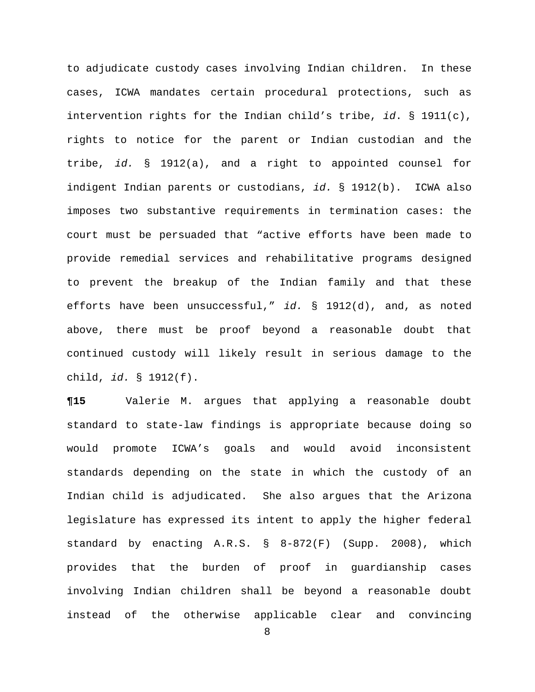to adjudicate custody cases involving Indian children. In these cases, ICWA mandates certain procedural protections, such as intervention rights for the Indian child's tribe, *id*. § 1911(c), rights to notice for the parent or Indian custodian and the tribe, *id.* § 1912(a), and a right to appointed counsel for indigent Indian parents or custodians, *id.* § 1912(b). ICWA also imposes two substantive requirements in termination cases: the court must be persuaded that "active efforts have been made to provide remedial services and rehabilitative programs designed to prevent the breakup of the Indian family and that these efforts have been unsuccessful," *id.* § 1912(d), and, as noted above, there must be proof beyond a reasonable doubt that continued custody will likely result in serious damage to the child, *id.* § 1912(f).

**¶15** Valerie M. argues that applying a reasonable doubt standard to state-law findings is appropriate because doing so would promote ICWA's goals and would avoid inconsistent standards depending on the state in which the custody of an Indian child is adjudicated. She also argues that the Arizona legislature has expressed its intent to apply the higher federal standard by enacting A.R.S. § 8-872(F) (Supp. 2008), which provides that the burden of proof in guardianship cases involving Indian children shall be beyond a reasonable doubt instead of the otherwise applicable clear and convincing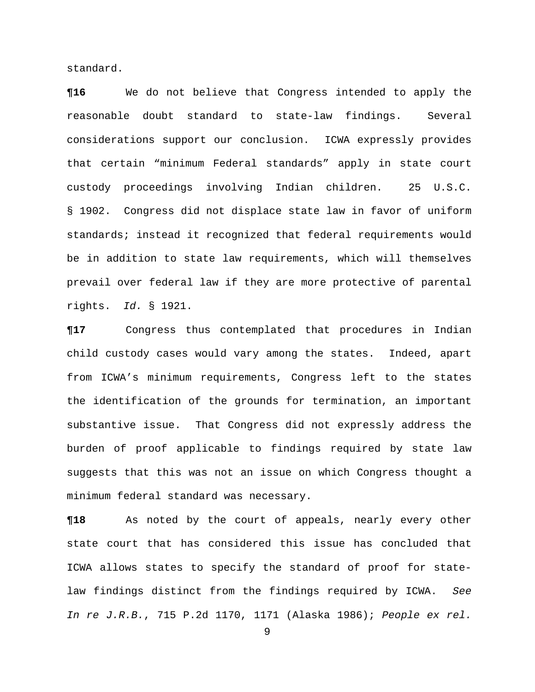standard.

**¶16** We do not believe that Congress intended to apply the reasonable doubt standard to state-law findings. Several considerations support our conclusion. ICWA expressly provides that certain "minimum Federal standards" apply in state court custody proceedings involving Indian children. 25 U.S.C. § 1902. Congress did not displace state law in favor of uniform standards; instead it recognized that federal requirements would be in addition to state law requirements, which will themselves prevail over federal law if they are more protective of parental rights. *Id.* § 1921.

**¶17** Congress thus contemplated that procedures in Indian child custody cases would vary among the states. Indeed, apart from ICWA's minimum requirements, Congress left to the states the identification of the grounds for termination, an important substantive issue. That Congress did not expressly address the burden of proof applicable to findings required by state law suggests that this was not an issue on which Congress thought a minimum federal standard was necessary.

**¶18** As noted by the court of appeals, nearly every other state court that has considered this issue has concluded that ICWA allows states to specify the standard of proof for statelaw findings distinct from the findings required by ICWA. *See In re J.R.B.*, 715 P.2d 1170, 1171 (Alaska 1986); *People ex rel.*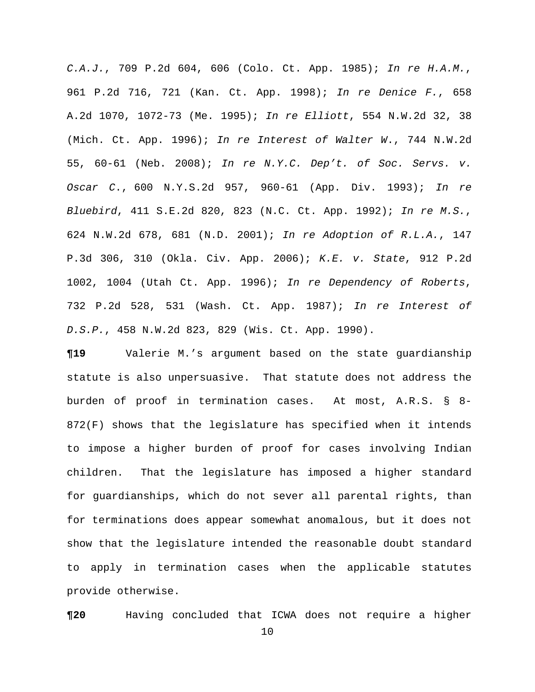*C.A.J.*, 709 P.2d 604, 606 (Colo. Ct. App. 1985); *In re H.A.M.*, 961 P.2d 716, 721 (Kan. Ct. App. 1998); *In re Denice F.*, 658 A.2d 1070, 1072-73 (Me. 1995); *In re Elliott*, 554 N.W.2d 32, 38 (Mich. Ct. App. 1996); *In re Interest of Walter W*., 744 N.W.2d 55, 60-61 (Neb. 2008); *In re N.Y.C. Dep't. of Soc. Servs. v. Oscar C*., 600 N.Y.S.2d 957, 960-61 (App. Div. 1993); *In re Bluebird*, 411 S.E.2d 820, 823 (N.C. Ct. App. 1992); *In re M.S.*, 624 N.W.2d 678, 681 (N.D. 2001); *In re Adoption of R.L.A.*, 147 P.3d 306, 310 (Okla. Civ. App. 2006); *K.E. v. State*, 912 P.2d 1002, 1004 (Utah Ct. App. 1996); *In re Dependency of Roberts*, 732 P.2d 528, 531 (Wash. Ct. App. 1987); *In re Interest of D.S.P.*, 458 N.W.2d 823, 829 (Wis. Ct. App. 1990).

**¶19** Valerie M.'s argument based on the state guardianship statute is also unpersuasive. That statute does not address the burden of proof in termination cases. At most, A.R.S. § 8- 872(F) shows that the legislature has specified when it intends to impose a higher burden of proof for cases involving Indian children. That the legislature has imposed a higher standard for guardianships, which do not sever all parental rights, than for terminations does appear somewhat anomalous, but it does not show that the legislature intended the reasonable doubt standard to apply in termination cases when the applicable statutes provide otherwise.

**¶20** Having concluded that ICWA does not require a higher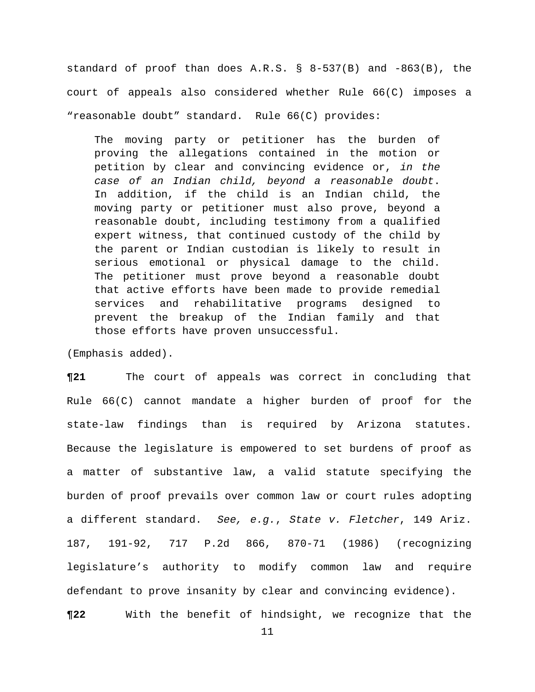standard of proof than does A.R.S. § 8-537(B) and -863(B), the court of appeals also considered whether Rule 66(C) imposes a "reasonable doubt" standard. Rule 66(C) provides:

The moving party or petitioner has the burden of proving the allegations contained in the motion or petition by clear and convincing evidence or, *in the case of an Indian child, beyond a reasonable doubt*. In addition, if the child is an Indian child, the moving party or petitioner must also prove, beyond a reasonable doubt, including testimony from a qualified expert witness, that continued custody of the child by the parent or Indian custodian is likely to result in serious emotional or physical damage to the child. The petitioner must prove beyond a reasonable doubt that active efforts have been made to provide remedial services and rehabilitative programs designed to prevent the breakup of the Indian family and that those efforts have proven unsuccessful.

(Emphasis added).

**¶21** The court of appeals was correct in concluding that Rule 66(C) cannot mandate a higher burden of proof for the state-law findings than is required by Arizona statutes. Because the legislature is empowered to set burdens of proof as a matter of substantive law, a valid statute specifying the burden of proof prevails over common law or court rules adopting a different standard. *See, e.g.*, *State v. Fletcher*, 149 Ariz. 187, 191-92, 717 P.2d 866, 870-71 (1986) (recognizing legislature's authority to modify common law and require defendant to prove insanity by clear and convincing evidence). **¶22** With the benefit of hindsight, we recognize that the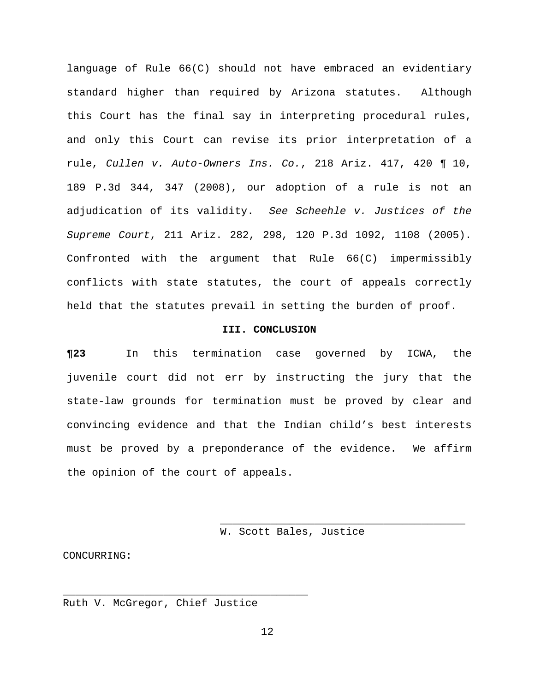language of Rule 66(C) should not have embraced an evidentiary standard higher than required by Arizona statutes. Although this Court has the final say in interpreting procedural rules, and only this Court can revise its prior interpretation of a rule, *Cullen v. Auto-Owners Ins. Co.*, 218 Ariz. 417, 420 ¶ 10, 189 P.3d 344, 347 (2008), our adoption of a rule is not an adjudication of its validity. *See Scheehle v. Justices of the Supreme Court*, 211 Ariz. 282, 298, 120 P.3d 1092, 1108 (2005). Confronted with the argument that Rule 66(C) impermissibly conflicts with state statutes, the court of appeals correctly held that the statutes prevail in setting the burden of proof.

#### **III. CONCLUSION**

**¶23** In this termination case governed by ICWA, the juvenile court did not err by instructing the jury that the state-law grounds for termination must be proved by clear and convincing evidence and that the Indian child's best interests must be proved by a preponderance of the evidence. We affirm the opinion of the court of appeals.

W. Scott Bales, Justice

CONCURRING:

Ruth V. McGregor, Chief Justice

\_\_\_\_\_\_\_\_\_\_\_\_\_\_\_\_\_\_\_\_\_\_\_\_\_\_\_\_\_\_\_\_\_\_\_\_\_\_\_

 $\overline{\phantom{a}}$  ,  $\overline{\phantom{a}}$  ,  $\overline{\phantom{a}}$  ,  $\overline{\phantom{a}}$  ,  $\overline{\phantom{a}}$  ,  $\overline{\phantom{a}}$  ,  $\overline{\phantom{a}}$  ,  $\overline{\phantom{a}}$  ,  $\overline{\phantom{a}}$  ,  $\overline{\phantom{a}}$  ,  $\overline{\phantom{a}}$  ,  $\overline{\phantom{a}}$  ,  $\overline{\phantom{a}}$  ,  $\overline{\phantom{a}}$  ,  $\overline{\phantom{a}}$  ,  $\overline{\phantom{a}}$